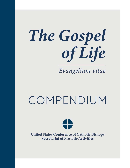# *The Gospel of Life*

*Evangelium vitae*

## COMPENDIUM



United States Conference of Catholic Bishops Secretariat of Pro-Life Activities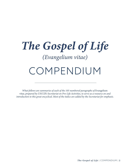## *The Gospel of Life (Evangelium vitae)* COMPENDIUM

*What follows are summaries of each of the 105 numbered paragraphs of* Evangelium vitae*, prepared by USCCB's Secretariat on Pro-Life Activities, to serve as a resource on and introduction to this great encyclical. Most of the italics are added by the Secretariat for emphasis.*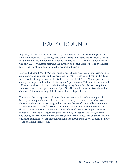## BACKGROUND

Pope St. John Paul II was born Karol Wojtyła in Poland in 1920. The youngest of three children, he faced great suffering, loss, and hardship in his early life. His elder sister had died in infancy, his mother and brother by the time he was 12, and his father when he was only 20. He witnessed firsthand the invasion and occupation of Poland by German forces, the rise of communism, and the scourge of Nazism.

During the Second World War, the young Wojtyla began studying for the priesthood in an underground seminary and was ordained in 1946. He was elected Pope in 1978 and served as the Bishop of Rome until his death on April 2, 2005. His 27-year pontificate is among the longest in the Church's history. As Pope, he visited 129 countries, canonized 482 saints, and wrote 14 encyclicals, including *Evangelium vitae* (*The Gospel of Life*). He was canonized by Pope Francis on April 27, 2014, and his feast day is celebrated on October 22, the anniversary of the inauguration of his pontificate.

The twentieth century witnessed some of the greatest assaults on human dignity in history, including multiple world wars, the Holocaust, and the advance of legalized abortion and euthanasia. Promulgated in 1995, on the eve of a new millennium, Pope St. John Paul II's *Gospel of Life* sought to counter the spread of such unprecedented threats to human life and combat the "culture of death." Despite such grave threats to human life, John Paul II vigorously proclaimed the *good news* of the value, sacredness, and dignity of every human life in every stage and circumstance. His landmark, pro-life encyclical continues to offer prophetic insights for the Church's efforts to build a culture of life and civilization of love.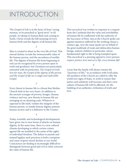## INTRODUCTION

*1*

The Gospel of Life is at the heart of Jesus' saving mission, to be preached as "good news" to all people. In taking on human flesh and coming to Earth, Christ reveals the full meaning of every human birth and the dignity of all human life.

#### *2*

Man is created to share in the very life of God. This eternal destiny reveals the *immeasurable* value of the human person, and the sacredness of earthly life. The dignity of human life from beginning to end can be recognized by every person open to truth and goodness, but Christians are particularly entrusted with its protection. *The Gospel of God's love for man, the Gospel of the dignity of the person and the Gospel of life are a single and indivisible Gospel.*

*3*

Every threat to human life is a threat that Mother Church feels in her very heart. In addition to the ancient scourges of poverty, hunger, disease, violence and war, new threats to human life are emerging on an alarming scale. Whatever is opposed to life itself, violates the integrity of the human person, or insults human dignity poisons human society and is a dishonor to the Creator.

*4*

Today, scientific and technological developments have given rise to new forms of attacks on human dignity. At the same time, there is a new cultural climate developing in which certain crimes against life are justified in the name of the rights of individual freedom. The failure to punish and instead legalize such practices is both a symptom and cause of grave moral decline in our world. Consciences are finding it increasingly difficult to distinguish between good and evil in what concerns the value of human life.

*5*

This encyclical was written in response to a request from the Cardinals that the value and inviolability of human life be reaffirmed with the authority of the Successor of Peter. Just as the Church spoke out against injustices suffered by the working classes a century ago, now she must speak out on behalf of the great multitude of weak and defenceless human beings, unborn children in particular, whose fundamental right to life is being trampled upon. This encyclical is a pressing appeal to every person: *respect, protect, love and serve life, every human life!*

*6*

I pray that the family will always remain the "sanctuary of life,"<sup>1</sup> in accordance with God's plan. All members of the Church are called to offer the world new signs of hope, to work to ensure that justice and solidarity will increase and that a new culture of human life will be affirmed, for the building of an authentic civilization of truth and love.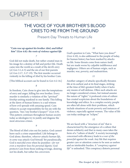## CHAPTER 1

### THE VOICE OF YOUR BROTHER'S BLOOD CRIES TO ME FROM THE GROUND

Present-Day Threats to Human Life

#### *"Cain rose up against his brother Abel, and killed him" (Gen 4:8): the roots of violence against life*

*7*

God did not make death, but rather created man in his image for a destiny of full and perfect life. Death came into the world as a result of the devil's envy (cf. *Gen* 3:1,4-5) and the sin of our first parents (cf. *Gen* 2:17, 3:17-19). The first murder occurred violently in the killing of Abel by his brother Cain.

[This biblical account can be found in *Gen* 4:2-16.]

*8*

In freedom, Cain chose to give into the temptations of envy and anger, killing his own brother. Every murder is similarly a violation of the *"spiritual" kinship* uniting mankind in one family. This killing at the dawn of human history is a sad witness of how evil spreads with amazing speed. Cain refuses to accept responsibility for his sin with the question, "Am *I* my brother's keeper?" (*Gen* 4:9). This pattern continues throughout human society today as ideologies try to justify and disguise the most atrocious crimes.

#### *9*

The blood of Abel cries out for justice. God cannot leave such a crime unpunished. Life belongs to God alone; therefore, *whoever attacks human life, in some way attacks God himself*. Yet paradoxically, God is merciful even when he punishes—*for not even a murderer loses his personal dignity*. God protects Cain from those seeking revenge, desiring not his death, but rather his *conversion*.

*10*

God's question to Cain, "What have you done?" (*Gen* 4:10), is also addressed to the people of today, for human history has been marked by attacks on life. Some threats come from nature itself, but are made worse by culpable indifference and negligence. Others are of human origin, such as murder, war, poverty, and malnutrition.

#### *11*

Another category of attacks specifically threaten life at its earliest and at its final stages, striking at the time of life's greatest frailty when it lacks any means of self-defense. Often such attacks are no longer considered crimes, but instead assume the nature of "rights." A profound crisis of culture has created scepticism about the foundations of knowledge and ethics. In a complex society, people are often left alone with their problems, which include situations of acute poverty and instances of violence, especially against women. The value of life can today undergo an "eclipse."

#### *12*

We are faced with a "structure of sin" that is characterized by the emergence of a culture that denies solidarity and that in many cases takes the form of a "culture of death." A society increasingly concerned with efficiency leads to *a war of the powerful against the weak*. Any life that requires greater care or attention comes to be seen as useless and an intolerable burden. A "*conspiracy against life*" is unleashed. This conspiracy distorts personal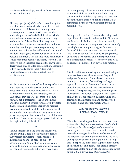and family relationships, as well as those between peoples and nations.

*13*

Although *specifically different* evils, contraception and abortion are often closely connected as fruits of the same tree. It is true that in many cases contraception and even abortion are practised under the pressure of real-life difficulties, which nonetheless can never exonerate from striving to observe God's law fully. Still, in very many instances, both practices are rooted in a hedonistic mentality unwilling to accept responsibility in matters of sexuality with a self-centered concept of freedom that regards procreation as an obstacle to personal fulfilment. The life that could result from a sexual encounter becomes an enemy to avoid at all costs. Abortion therefore becomes the only possible decisive response to failed contraception, according to this tragically flawed logic. Additionally, some contraceptive products actually act as abortifacients.

#### *14*

While various techniques of artificial reproduction may appear to be at the service of life, such practices actually introduce new threats. These techniques are morally unacceptable, first of all, because they separate procreation from the conjugal act. Furthermore, the "spare embryos" are either destroyed or used for research. Prenatal diagnoses can be helpful in identifying medical treatments needed by a child in the womb, but all too often become opportunities for proposing and procuring eugenic abortions in the case of illness or handicap. There are alarming proposals that extend this logic to justify infanticide.

#### *15*

Serious threats also hang over the incurably ill and the dying. There is a temptation to resolve the problem of suffering—sadly considered meaningless and the epitome of evil—by hastening death. While often stemming from a false understanding of compassion, euthanasia is a misguided response to suffering. There exists

in contemporary culture a certain Promethean attitude which leads people to think that they can control life and death by taking the decisions about them into their own hands. Euthanasia is sometimes justified by the utilitarian motive of avoiding costs.

#### *16*

Demographic considerations are also being used to justify further attacks on human life. Birthrates are disturbingly declining or collapsing in rich, developed countries, while poorer nations generally have high rates of population growth. Instead of forms of global intervention at the international level, such as serious family policies, programmes of cultural development and of fair production and distribution of resources, however, anti-birth policies are being forced on developing nations.

#### *17*

Attacks on life are spreading in extent and in high numbers. Moreover, they receive widespread and powerful support from a broad consensus on the part of society, from widespread legal approval and the involvement of certain sectors of health-care personnel. We are faced by an objective "conspiracy against life," involving even international institutions that, with the assistance of mass media, are engaged in encouraging and carrying out campaigns to make contraception, sterilization, and abortion widely available.

#### *"Am I my brother's keeper?": a perverse idea of freedom*

#### *18*

 There is a disturbing tendency to interpret crimes against life as *legitimate expressions of individual freedom, to be acknowledged and protected as actual rights*. It is a surprising contradiction that, precisely in an age when the inviolable rights of the person are solemnly proclaimed and the value of life publicly affirmed, the right to life is being denied, especially at the more significant moments of existence: life and death. Such attacks directly violate respect for human life and represent a *direct threat to the entire culture of human rights*.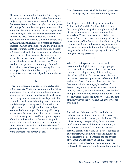The roots of this remarkable contradiction begin with a cultural mentality that carries the concept of subjectivity to an extreme and even distorts it, and that recognizes as a subject of rights only the person who enjoys full or at least incipient autonomy*.* This mentality also tends to *equate personal dignity with the capacity for verbal and explicit communication*. There is no place for anyone who is radically dependent on the other and can communicate only through the silent language of a profound sharing of affection, such as the unborn and the dying. Such denials of human rights are also rooted in a *notion of freedom* that exalts the individual in an *absolute* way, giving no place to solidarity or service to others. Every man is indeed his "brother's keeper," because God entrusts us to one another. When freedom is stripped of its inherently *relational*  dimension, it loses its original meaning. Freedom no longer exists when it fails to recognize and respect its connection with objective and universal truth.

#### *20*

 This view of freedom *leads to a serious distortion of life in society.* When the promotion of the self is understood in terms of absolute autonomy, society becomes a mass of individuals placed side by side, each trying to make his own interests prevail. There is no reference to a truth binding on everyone and relativism reigns. Having lost its foundation, the "right" ceases to be a right and becomes subject to the will of the stronger. Democracy effectively moves towards a form of totalitarianism, where a tyrant State arrogates to itself the right to dispose of the life of the weakest in the name of a public interest which is really nothing but the interest of some. The process leading to the *breakdown of a genuinely human co-existence* and the *disintegration of the State* itself has already begun.

#### *"And from your face I shall be hidden" (Gen 4:14): the eclipse of the sense of God and of man*

#### *21*

The deepest roots of the struggle between the "culture of life" and the "culture of death," lie in *the eclipse of the sense of God and of man,* typical of a social and cultural climate dominated by secularism. There is a vicious cycle. When the sense of God is lost, there is a tendency to lose the sense of man, of his dignity and his life. In turn, the systematic violation of the moral law, especially in the matter of respect for human life and its dignity, progressively darkens our capacity to discern God's living and saving presence.

#### *22*

When God is forgotten, the creature itself becomes unintelligible. Man no longer grasps the transcendent character of his existence, and is reduced to being a "thing." Life is no longer viewed as a gift from God entrusted to his care, but instead becomes a possession to be controlled and manipulated. *Once all reference to God has been removed, the meaning of everything else becomes profoundly distorted.* Nature is reduced to being "matter," and is subjected to every kind of manipulation. By living as if God did not exist, man not only loses sight of the mystery of God, but also of the mystery of the world and the mystery of his own being.

#### *23*

This eclipse of the sense of God and of man leads to a *practical materialism*, which breeds individualism, utilitarianism, and hedonism. The values of *being* are replaced by those of *having*. One's own material well-being is paramount, at the impoverishment of the interpersonal and spiritual dimensions of life. The body is reduced to pure materiality, a complex of organs, functions, and energies to be used according to the criteria of pleasure and efficiency. In the materialistic perspective, the criterion of personal dignity is replaced by the criterion of efficiency, functionality,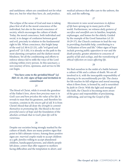and usefulness: others are considered not for what they *are*, but for what they *have, do*, and *produce*.

*24*

The eclipse of the sense of God and man is taking place first of all in the moral conscience of the individual, but also in the moral conscience of society, which encourages the culture of death. Today, the moral conscience, both individual and social, is in danger of confusion between good and evil, precisely in relation to the fundamental right to life. When conscience, this bright lamp of the soul (cf. *Mt* 6:22-23), calls "evil good and good evil" (*Is* 5:20), it is already on the path to the most alarming corruption and the darkest moral blindness. Yet all the conditioning and efforts to enforce silence fail to stifle the voice of the Lord echoing within every person. In this sanctuary, a new journey of love, openness, and service to life can begin.

#### *" You have come to the sprinkled blood" (cf. Heb 12: 22, 24): signs of hope and invitation to commitment*

#### *25*

The blood of Christ, while it reveals the grandeur of the Father's love, *shows how precious man is in God's eyes and how priceless the value of his life*. It reveals to man that his greatness, and therefore his vocation, consists in *the sincere gift of self*. It is from Christ's blood that all draw *the strength to commit themselves to promoting life*. His blood is *the most powerful source of hope* and the foundation of the *absolute certitude that in God's plan life will be victorious*.

#### *26*

Despite our societies being strongly marked by the culture of death, there are many positive signs that point to life's ultimate victory. Among these positive signs are: *married couples* ready to accept children as a gift; *families* willing to accept abandoned children, handicapped persons, and elderly people left alone; *centers* that offer support to mothers facing difficulties and the temptation to abort; and

*medical advances* that offer care to the unborn, the sick, and the suffering.

*27*

*Movements to raise social awareness in defense of life* have sprung up in many parts of the world. Furthermore, we witness *daily gestures of sacrifice and unselfish care* in families, hospitals, orphanages, and homes for the elderly. Guided by the example of the Good Samaritan (cf. *Lk* 10:29-37), the Church continues to lead the way in providing charitable help, contributing to a "civilization of love and life." Other signs of hope *include growing public opposition to war* and *the death penalty*, greater attention to concerns of *quality of life* and *ecology*, and the *reawakening of ethical reflection on issues affecting life*.

#### *28*

We find ourselves in the midst of a battle between a culture of life and a culture of death. We are all involved in it, with the inescapable responsibility of *choosing to be unconditionally pro-life*. The choice for life reaches its full religious and moral meaning when it flows from, is formed by, and is nourished by *faith in Christ*. With the light and strength of this faith, the Church is becoming more aware of the grace and responsibility of proclaiming, celebrating, and serving the *Gospel of life*.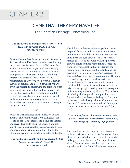## CHAPTER 2

#### I CAME THAT THEY MAY HAVE LIFE

The Christian Message Concerning Life

#### *"The life was made manifest, and we saw it (1 Jn 1:2): with our gaze fixed on Christ, "the Word of life"*

#### *29*

Faced with countless threats to human life, one can feel overwhelmed by sheer powerlessness. During such times, the People of God is called to profess its faith in Jesus. The *Gospel of life* is not simply a reflection on life or merely a commandment to change society. The *Gospel of life* is something *concrete* and *personal*, for it consists in the proclamation of *the very person of Jesus*. Through the words, actions, and person of Christ, we are given the possibility of knowing the complete truth concerning the value of human life. In Jesus, the *Gospel of life* is definitively proclaimed and fully given. This Gospel can be known in its essential traits by human reason, having been written on the heart of every man and woman and echoing in every conscience.

#### *30*

With our attention fixed on the Lord, we wish to meditate anew on the *Gospel of life*. In Jesus, the "Word of life", God's eternal life is thus proclaimed and given. Thanks to this proclamation and gift, our physical and spiritual life acquires its full value and meaning, for God's eternal life is the end to which our living in this world is directed and called.

#### *"The Lord is my strength and my song, and he has become my salvation" (Ex 15:2): life is always a good*

*31*

The fullness of the Gospel message about life was prepared for in the Old Testament. In the events of the Exodus, Israel discovered the preciousness of its life in the eyes of God. The Lord reveals himself to Israel as its Savior, with the power to ensure a future to those without hope. Freedom from slavery meant the gift of an identity, the recognition of an indestructible dignity, and *the beginning of a new history, in which discovery of God and discovery of self go hand in hand*. Through the Exodus experience, Israel learns to turn to God with renewed trust whenever its existence is threatened. In coming to know the value of its own existence as a people, Israel grows in its *perception of the meaning and value of life itself*. The problem of suffering challenges faith and puts it to the test. But even when the darkness is deepest, faith points to a trusting and adoring acknowledgment of the "mystery": "I know that you can do all things, and that no purpose of yours can be thwarted" (Job 42:2).

#### *"The name of Jesus***…** *has made this man strong" (Acts 3:16): in the uncertainties of human life, Jesus brings life's meaning to fulfillment*

#### *32*

The experience of the people of Israel is renewed in the experience of all the "poor" who meet Jesus of Nazareth. As God reassured Israel in the midst of danger, so now the Son of God proclaims to all who feel threatened that their lives, too, are a good to which the Father's love gives meaning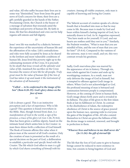and value. All who suffer because their lives are in some way "diminished," hear from Jesus the good news of God's concern for them; their lives are a gift carefully guarded in the hands of the Father. Proclaiming Christ, the Church is the bearer of a message of salvation that resounds amid the hardships and poverty of human life. By faith in Jesus, life that lies abandoned and cries out for help regains self-esteem and full dignity.

#### *33*

Jesus' own life was marked by a dialectic between the experience of the uncertainty of human life and the affirmation of its value. Life's contradictions and risks were fully accepted by Jesus as he shared in the lowliest and most vulnerable conditions of human life. Jesus lived this poverty right up to the culminating moment of the Cross. It is precisely *by his death that Jesus reveals all the splendor and value of life*, inasmuch his sacrifice on the Cross becomes the source of new life for all people. *Truly great must be the value of human life if the Son of God has taken it up and made it the instrument of the salvation of all humanity!*

#### *"Called* **…** *to be conformed to the image of his Son" (Rom 8:28-29): God's glory shines on the face of man*

#### *34*

Life is always a good. This is an instinctive perception and a fact of experience. Why is life a good? This question is found everywhere in the Bible. Man, though formed from dust, *is a manifestation of God in the world, a sign of his presence, a trace of his glory* (cf. *Gen* 1:26; *Ps* 8:6). Man has been given a *sublime dignity*, based on the intimate bond which unites him to his Creator: in man there shines forth a reflection of God himself. The Book of Genesis affirms this value when it places man at the *summit* of all God's creation. Only the creation of man is presented as the result of a special decision on the part of God, a deliberation to establish a *particular and specific bond with the Creator*. The life which God offers to man *is a gift by which God shares something of himself with his* 

*creature*. Among all visible creatures, only man is capable of knowing and loving his Creator.

#### *35*

The Yahwist account of creation speaks of a divine breath that is breathed into man so that he may come to life. Because man is made by God and bears within himself a lasting imprint of God, he is naturally drawn to God. As St. Augustine expressed, "You have made us for yourself, O Lord, and our hearts are restless until they rest in you."2 Similarly, the Psalmist wonders, "What is man that you are mindful of him, and the son of man that you care for him?" (*Ps* 8:4). Compared to the vastness of the universe, man is very small, and yet, this very contrast reveals his greatness.

#### *36*

Sadly, God's marvelous plan was marred by the appearance of sin in history. Through sin, man rebels against his Creator and ends up by worshipping creatures. As a result, man not only deforms the image of God in himself, but is tempted to offenses against God's image in others. When *God* is not acknowledged *as God*, the profound meaning of man is betrayed and communion between people is compromised. However, at the coming of Christ in human flesh, God's image shines forth anew and is revealed in its fullness. The plan of life given to the first Adam finds at last its fulfilment in Christ. In contrast to the disobedience of Adam, the redemptive obedience of Christ is the source of grace poured upon the human race, opening wide to everyone the gates of the kingdom of life. All who commit themselves to Christ are given the fullness of life: the divine image is restored, renewed, and brought to perfection in them.

#### *" Whoever lives and believes in me shall never die" (Jn 11:26): the gift of eternal life*

*37*

The life that the Son of God came to give to human beings cannot be reduced to mere existence in time, but consists in being begotten of God and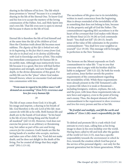sharing in the fullness of his love. The life which Jesus promises is "eternal" because it is a complete sharing in the life of the Eternal One. To know God and his Son is to accept the mystery of the loving communion of the Father, Son, and Holy Spirit into one's own life. That life even now is open to eternal life because it shares in the life of God.

#### *38*

Eternal life is therefore the life of God himself and at the same time the *life of the children of God*. Here the Christian truth about life becomes most sublime. *The dignity of this life is linked not only to its beginning, to the fact that it comes from God, but also to its final end, to its destiny of fellowship with God in knowledge and love of him.* This reality has immediate consequences for human life in its earthly state. Although man instinctively loves life because it is a good, this love will find further inspiration and strength, and new breadth and depth, in the divine dimensions of this good. For earthly life can be the "place" where God makes himself *known*, where we encounter God and enter into communion with him.

#### *"From man in regard to his fellow man I will demand an accounting" (Gen 9:5): reverence and love for every human life*

#### *39*

The life of man comes from God; it is his gift, his image and imprint, a sharing in his breath of life. *God* therefore *is the sole Lord of this life*: man cannot do with life as he wills. Both human life and death are in the hands of God alone: "In his hand is the life of every living thing and the breath of all mankind" (*Job* 12:10). However, God does not exercise his power in an arbitrary or threatening way, but rather as part of his *care and loving concern for his creatures*. God's hands are like the loving hands of a mother who accepts, nurtures, and takes care of her child. For, "God did not make death, and he does not delight in the death of the living. For he created all things that they might exist" (*Wis* 1:13-14).

The sacredness of life gives rise to its inviolability, written in man's conscience from the beginning. Man is always reminded of the inviolability of life as something that does not belong to him, because it is the property and gift of God the Father. The commandment regarding life's sacredness is at the heart of the covenant that God makes with Moses on Mount Sinai (cf. *Ex* 34:28) as God commands Israel: "You shall not kill" (*Ex* 20:13). Israel's sense of the value of life culminates in the positive commandment: "You shall love your neighbor as yourself" (*Lev* 19:18). This message will be brought to perfection in the New Testament.

#### *41*

The Sermon on the Mount expounds on God's commandment to value life: "I say to you that everyone who is angry with his brother shall be liable to judgment" (*Mt* 5:21-22). By both his words and actions, Jesus further unveils the positive requirements of the commandment regarding the inviolability of life. While these requirements were already present in the Old Testament's calls to protect life when it is weak or threatened including foreigners, widows, orphans, the sick, and the poor, with Jesus these requirements take on new force and urgency, even to the point of loving one's enemy. Thus, the deepest element of God's commandment is the *requirement to show reverence and love* for every person and his or her life.

#### *"Be fruitful and multiply, and fill the earth and subdue it" (Gen 1:28): man's responsibility for life*

#### *42*

To defend and promote life is a task which God entrusts to every man, calling him as his living image to share in his own lordship over the world. Having been called to till and look after the garden of the world (cf. *Gen* 2:15), man has a specific responsibility towards *the environment in which he lives*, towards the creation which God has put at the service of his personal dignity—not only for the present generation but for future generations. While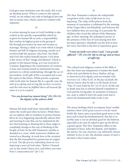God gave man dominion over the earth, this is not an absolute power. When it comes to the natural world, we are subject not only to biological laws but also to moral ones, which cannot be violated with impunity.

*43*

A certain sharing by man in God's lordship is also evident in the specific responsibility which he is given for human life as such, a responsibility that reaches its highest point in the giving of life *through procreation* by man and woman in marriage. Having a child is an event which is deeply human and full of religious meaning, insofar as it involves both the spouses, who form "one flesh," and God who makes himself present. God alone is the source of that "image and likeness" which is proper to the human being, as it was received at Creation. Begetting is the continuation of Creation. A man and woman joined in matrimony become partners in a divine undertaking: through the act of procreation, God's gift of life is accepted and a new life opens to the future. While parents cooperate with God's plan for human life in a specific way, *the task of accepting and serving life involves everyone; and this task must be fulfilled above all towards life when it is at its weakest.*

#### *"For you formed my inmost being" (Ps 139:13): the dignity of the unborn child*

#### *44*

Human life finds itself most vulnerable when it enters the world and when its leaves. While there are no explicit calls in Scripture to protect human life at its very beginning (specifically unborn life) and nearing its end, this can be explained by the fact that harming or denying life in these stages is completely foreign to the way of thinking of the People of God. In the Old Testament, sterility is dreaded as a curse, while numerous children are viewed as a blessing. At work here is the certainty that the life transmitted by parents has its origins in God. *The life of every individual, from its very beginning is part of God's plan*: "Before I formed you in the womb I knew you, and before you were born I consecrated you" (*Jer* 1:5).

The New Testament confirms *the indisputable recognition of the value of life from its very beginning*. The value of the person from the moment of conception is celebrated in the meeting of the Virgin Mary and Elizabeth, and between the two children they are carrying. It is precisely the children who reveal the advent of the Messianic age: in their meeting, the redemptive power of the presence of the Son of God among men first becomes operative. Elizabeth was the first to hear the voice; but John is the first to experience grace.

#### *"I kept my faith even when I said, 'I am greatly afflicted' " (Ps 116:10): life in old age and at times of suffering*

#### *46*

The cultural and religious context of the Bible is also free from any temptations to hasten the death of the sick and elderly by force. Rather, *old age is characterized by dignity and surrounded with reverence* (cf. *2 Mac* 6:23). *In the face of death, the believer knows that his life is in the hands of God*: "You, O Lord, hold my lot" (cf. *Ps* 16:5). In life and in death man has to entrust himself completely to God and his loving plan. In moments of sickness, too, man is called to have the same trust and to renew his fundamental faith in the Lord.

#### *47*

The many healings which accompany Jesus' earthly ministry show *God's great concern even for man's bodily life*. Jesus came to proclaim good news to the poor and to heal the brokenhearted. But *life in its earthly state is not an absolute good* for the believer, especially as he may be asked to give up his life for a greater good. The New Testament offers us the examples of Jesus, John the Baptist, and Stephen the martyr. No one, however, can arbitrarily choose whether to live or die; the absolute master of such a decision is the Creator alone.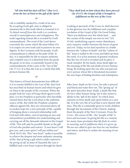#### *48*

Life is indelibly marked by a truth of its own. By accepting God's gift, man is obliged to maintain life in this truth which is essential to it. *To detach oneself from this truth is to condemn oneself to meaninglessness and unhappiness.* The truth regarding human life is revealed by God's commandment. The word of the Lord shows concretely the course which life must follow if it is to respect its own truth and to preserve its own dignity. In the Covenant with his people, God's commandment is offered as the path of life. In fact, it is impossible for life to remain authentic and complete once it is detached from the good; the good, in its turn, is essentially bound to the commandments of the Lord, to the "law of life" (*Sir* 17:11). It is thus the Law as a whole that fully protects human life.

#### *49*

This history of Israel demonstrates how difficult it is to remain faithful to the Law of life, that God has inscribed on human hearts and which he gave on Sinai to the people of the covenant. When the people look for ways of living which ignore God's plan, it is the Prophets in particular who forcefully remind them that the Lord alone is the authentic source of life. But while the Prophets condemn offences against life, they are concerned above all to awaken hope for a new principle of life, capable of bringing about a renewed relationship with God and with others, and of opening up new and extraordinary possibilities for understanding and carrying out all the demands inherent in the Gospel of life. This will only be possible thanks to the gift of God who purifies and renews: "A new heart I will give you, and a new spirit I will put within you" (*Ezek* 36:25-26). This "new heart" makes it possible to achieve the deepest and most authentic meaning of life: *that of being a gift which is fully realized in the giving of self*. In Jesus of Nazareth the Law is fulfilled and a new heart is given through his Spirit.

#### *"They shall look on him whom they have pierced (Jn 19:37): the Gospel of life is brought to fulfillment on the tree of the Cross*

#### *50*

Looking at spectacle of the Cross we shall discover in this glorious tree the fulfilment and complete revelation of the *Gospel of life*. On Good Friday, "there was darkness over the whole land … and the curtain of the temple was torn in two" (*Lk* 23:44), symbolizing a great cosmic disturbance and a massive conflict between the forces of good and evil. Today, we too find ourselves in a battle between the "culture of death" and the "culture of life." Jesus is nailed to the Cross and lifted up from the earth. It is at his moment of greatest weakness that the Son of God is revealed and *his glory is made manifest*. By his death, Jesus sheds light on the meaning of the life and death of every human being. By looking upon the one who was pierced, every person whose life is threatened encounters the sure hope of finding freedom and redemption.

#### *51*

After Jesus' death on the Cross, his side is pierced and blood and water flow out. The "giving up" of the spirit describes Jesus' death, a death like that of every other human being, but it also seems to allude to the "gift of the Spirit", by which Jesus ransoms us from death and opens before us a new life. It is the very life of God that is now shared with man. This life is continually given to God's children through the Sacraments of the Church, making them the people of the New Covenant. From the Cross—the source of life—the "people of life" is born and increases. In giving his life as a ransom for many, Jesus proclaims that *life finds its center, its meaning, and its fulfilment when it is given up.* We too are called to give our lives for our brothers and sisters, and thus to realize the meaning of our existence.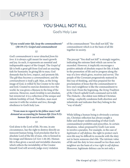## CHAPTER 3

### YOU SHALL NOT KILL

God's Holy Law

#### *"If you would enter life, keep the commandments"*  (*Mt* 19:17): *Gospel and commandment*

#### *52*

*God's commandment is never detached from his love*: it is always a gift meant for man's growth and joy. As such, it represents an essential and indispensable aspect of the Gospel. The *Gospel of life* is both a great gift from God and an exacting task for humanity. In giving life to man, God demands that he love, respect, and promote life. The *gift* thus *becomes a commandment*, and *the commandment is itself a gift*. Man, as the living image of God, is willed by his Creator to be ruler and lord. Created to exercise dominion over the world, he was given a likeness to the king of the universe. However, man's *lordship* is not absolute, but *ministerial*: it is a reflection of the unique and infinite lordship of God. Therefore, man must exercise it with the *wisdom* and *love*, through obedience to God's holy Law.

#### *"From man in regard to his fellow man I will demand an accounting for human life* (*Gen* 9:5): *human life is sacred and inviolable*

#### *53*

God alone is the Lord of life. No one, in any circumstance, has the right to destroy directly an innocent human being. God proclaims that he is absolute Lord of the life of man, who is formed in his image and likeness (cf. *Gen* 1:26-28). Human life is thus given a sacred and inviolable character, which reflects the inviolability of the Creator himself. God will severely judge every violation

of the commandment "You shall not kill," the commandment which is at the basis of all life together in society.

#### *54*

The precept "You shall not kill" is strongly negative, indicating the extreme limit which can never be exceeded. However, it implicitly encourages a positive attitude of absolute respect for life; it leads to the promotion of life and to progress along the way of a love which gives, receives and serves. The people of the Covenant progressively matured in this way of thinking, and thus prepared for the proclamation of Jesus that the commandment to love one's neighbour is like the commandment to love God. From the beginning, the *living Tradition of the Church* upheld God's command not to kill. The *Didache*—the oldest non-biblical Christian writing—explicitly condemns both abortion and infanticide and indicates that they belong to the "way of death."

#### *55*

While killing a human being is obviously a serious sin, Christian reflection has always sought a fuller and deeper understanding of what God's commandment prohibits and prescribes. In certain situations, values proposed by God's Law seem to involve a paradox. For example, in the case of *legitimate or self-defense*, the right to protect one's own life may be difficult to reconcile with the duty not to harm someone else's life. The intrinsic value of life and the duty to love oneself *no less* than one's neighbor are the basis of *a true right to self-defense*. Moreover, legitimate defence can be not only a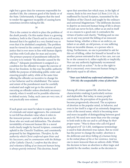right but a grave duty for someone responsible for another's life, the common good of the family or of the State. Unfortunately, it happens that the need to render the aggressor incapable of causing harm sometimes involves taking his life.

*56*

This is the context in which to place the problem of the *death penalty*. On this matter there is a growing tendency, both in the Church and in civil society, to demand that it be applied in a very limited way or even that it be abolished completely. The problem must be viewed in the context of a system of penal justice that is ever more in line with human dignity and thus with God's plan for man and society. The primary purpose of punishment inflicted by a society is to remedy "the disorder caused by the offence."3 Adequate punishment is assigned as a condition for the offender to regain the exercise of his or her freedom. In this way the public authority fulfills the purpose of defending public order and ensuring people's safety, while at the same time offering the offender an incentive to change his or her behavior and be rehabilitated. The nature and extent of the punishment must be carefully evaluated and ought not go to the extreme of executing an offender unless absolutely necessary: namely, when it would not be possible otherwise to defend society. Today, such cases are very rare, if not practically non-existent.

#### *57*

If such great care must be taken to respect the lives of criminals and unjust aggressors, the command to not kill has absolute value when it refers to the innocent person—and all the more so for those who are weak and defenseless. The absolute inviolability of innocent human life is a moral truth clearly taught by Sacred Scripture, constantly upheld in the Church's Tradition, and consistently proposed by her Magisterium. *Therefore, by the authority which Christ conferred upon Peter and his Successors, and in communion with the Bishops of the Catholic Church, I confirm that the direct and voluntary killing of an innocent human being is always gravely immoral.* This doctrine, based

upon that unwritten law which man, in the light of reason, finds in his own heart (cf. Rom 2:14-15), is reaffirmed by Sacred Scripture, transmitted by the Tradition of the Church and taught by the ordinary and universal Magisterium.4 The deliberate decision to deprive an innocent human being of life is always evil and can never be licit, either as an end in itself or as a means to a good end; it contradicts the virtues of justice and charity. "Nothing and no one can in any way permit the killing of an innocent human being, whether a fetus or an embryo, an infant or an adult, an old person, or one suffering from an incurable disease, or a person who is dying. Furthermore, no one is permitted to ask for this act of killing, either for himself or herself or for another person entrusted to his or her care, nor can he or she consent to it, either explicitly or implicitly. Nor can any authority legitimately recommend or permit such an action."5 As far as the right to life is concerned, every innocent human being is absolutely equal to all others.

#### *" Your eyes beheld my unformed substance*" (*Ps* 139:16): *the unspeakable crime of abortion*

*58*

Among all crimes against life, abortion has characteristics making it particularly serious and deplorable. But today, in many people's consciences, the perception of its gravity has become progressively obscured. The acceptance of abortion in the popular mind, in behavior, and even in law itself is a sign of an extremely dangerous crisis of the moral sense, which is becoming more and more incapable of distinguishing between good and evil. We need now more than ever the courage to look truth in the eye and to *call things by their proper name*: "Woe to those who call evil good and good evil" (*Is* 5:20). Ambiguous terminology is used to hide abortion's true nature. But no word has the power to change the reality: abortion is *the deliberate and direct killing of a human being in the initial phase of his or her existence*. And no one is more innocent than an unborn child. While the decision to have an abortion is often tragic and painful for the mother, insofar as the decision to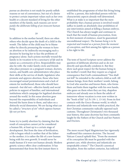pursue an abortion is not made for purely selfish reasons or out of convenience, but out of a desire to protect certain important values such as her own health or a decent standard of living for the other members of the family, such reasons *can never justify the deliberate killing of an innocent human being*.

*59*

In addition to the mother herself, there are often others who decide upon the death of a child in the womb. The father of the child may be to blame either by directly pressuring the woman to have an abortion or by indirectly encouraging such a decision by leaving her to face the problems of pregnancy alone. Such actions mortally wound the family in its vocation to be a *sanctuary of life* and its nature as a *community of love*. Responsibility may also lie with: the wider family circle and friends who place pressure on a pregnant woman; doctors, nurses, and health care administrators who place their skills at the service of death; legislators who promote and approve abortion; those who have encouraged sexual permissiveness and a lack of esteem for motherhood; those who should have ensured—but did not—effective family and social policies in support of families; and international institutions which campaign for legalized abortion around the world. In this sense abortion goes beyond the responsibility of individuals and beyond the harm done to them, and takes on a distinctly social dimension. We are facing what can be called *a "structure of sin" which opposes human life not yet born*.

#### *60*

Some try to justify abortion by claiming that the result of conception cannot yet be considered a human life, at least up to a certain stage of development. But from the time of fertilization, a life is begun which is neither that of the father or the mother; it is rather the life of a new human being with his own growth. It would never be made human if it were not human already. Modern genetic science offers clear confirmation: It has demonstrated that from the first instant there is

established the programme of what this living being will be: a person, this individual person with his characteristic aspects already well determined. What is at stake is so important that the mere probability that a human person is involved would suffice to justify an absolutely clear prohibition of any intervention aimed at killing a human embryo. The Church has always taught and continues to teach that the result of human procreation, from its first moment of existence, must be guaranteed unconditional respect. *The human being is to be respected and treated as a person from the moment of conception*, and first among his rights as a person is his right to life.

*61*

The texts of Sacred Scripture never address the question of deliberate abortion and so do not directly and specifically condemn it. But they show such great respect for the human being in the mother's womb that they require as a logical consequence that God's commandment "You shall not kill" be extended to the unborn child as well. All human beings, from their mothers' womb, belong to God who searches and knows them, who forms them and knits them together with his own hands, who gazes on them when they are tiny, shapeless embryos and already sees in them the adults of tomorrow whose vocation is even now written in the "book of life" (cf. *Ps* 139: 1, 13-16). From its first contacts with the Greco-Roman world, in which abortion and infanticide were widely practiced, the first Christian community radically opposed such customs. Throughout Christianity's two thousand year history, this same doctrine has been constantly taught by the Fathers of the Church and her Pastors and Doctors.

*62*

The more recent Papal Magisterium has vigorously reaffirmed this common doctrine. The Second Vatican Council upheld that, "From the moment of its conception life must be guarded with the greatest care, while abortion and infanticide are unspeakable crimes."6 The Church's canonical discipline, from the earliest centuries, has inflicted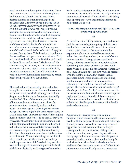penal sanctions on those guilty of abortion. Given such unanimity in the doctrinal and disciplinary tradition of the Church, Paul VI was able to declare that this tradition is unchanged and unchangeable. *Therefore, by the authority which Christ conferred upon Peter and his Successors, in communion with the Bishops—*who on various occasions have condemned abortion and who in the aforementioned consultation, albeit dispersed throughout the world, have shown unanimous agreement concerning this doctrine—*I declare that direct abortion, that is, abortion willed as an end or as a means, always constitutes a grave moral disorder, since it is the deliberate killing of an innocent human being.* This doctrine is based upon the natural law and upon the written Word of God, is transmitted by the Church's Tradition and taught by the ordinary and universal Magisterium.<sup>7</sup> No circumstance, no purpose, no law whatsoever can ever make licit an act which is intrinsically illicit, since it is contrary to the Law of God which is written in every human heart, knowable by reason itself, and proclaimed by the Church.

#### *63*

This evaluation of the morality of abortion is to be applied also to the recent forms of intervention on human embryos which, although carried out for purposes legitimate in themselves, inevitably involve the killing of those embryos. The use of human embryos or fetuses as an object for experimentation—inevitably leading to their death—is a crime against their dignity as human beings who have a right to the same respect owed to a child once born. Likewise, procedures that exploit human embryos and fetuses to be used *as providers of organs or tissues* must also be condemned. The killing of innocent human beings, even if carried out to help others, is an absolutely unacceptable act. Prenatal diagnostic testing that enables early detection of anomalies in an unborn child can also be problematic. While such testing can be ethical when used to provide therapeutic care or help families prepare for a child's arrival, they are often used with a eugenic intention to prevent the birth of children affected by various types of anomalies.

Such an attitude is reprehensible, since it presumes to measure the value of a human life only within the parameters of "normality" and physical well-being, thus opening the way to legitimizing infanticide and euthanasia as well.

#### *"It is I who bring both death and life"* (*Dt* 32:39):  *the tragedy of euthanasia*

#### *64*

At the other end of life's spectrum, men and women find themselves facing the mystery of death. As a result of advances in medicine and in a cultural context often closed to the transcendent the experience of dying is marked by new features. When the prevailing tendency is to value life only to the extent that it brings pleasure and wellbeing, suffering seems like an unbearable setback, something from which one must be freed at all costs. When he denies his fundamental relationship to God, man thinks he is his own rule and measure, with the right to demand that society should guarantee him the ways and means of deciding what to do with his life in full and complete autonomy. The temptation toward *euthanasia*  grows—that is, *to take control of death and bring it about before its time*, "gently" ending one's own life or that of another. While such an action may appear logical and humane, in reality it is *senseless* and *inhumane*. In societies preoccupied with efficiency, elderly and disabled people are seen as intolerable and too burdensome.

#### *65*

*Euthanasia in the strict sense* is an action or omission which of itself and by intention causes death, with the purpose of eliminating all suffering. It must be distinguished from decisions to forego aggressive medical treatments that no longer correspond to the real situation of the patient, either because they are by now disproportionate to any expected results or because they impose an excessive burden on the patient and his family. In such situations, when death is clearly imminent and inevitable, one can in conscience "refuse forms of treatment that would only secure a precarious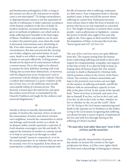and burdensome prolongation of life, so long as the normal care due to the sick person in similar cases is not interrupted."8 To forego extraordinary or disproportionate means is not the equivalent of suicide or euthanasia; it rather expresses acceptance of the human condition in the face of death. In modern medicine, increased attention is being given to methods of palliative care which seek to make suffering more bearable in the final stages of illness. Painkillers and sedatives can be used to relieve the patient's pain, even when the result is decreased consciousness and a shortening of life, if no other means exist, and if, in the given circumstances, this does not prevent the carrying out of other religious and moral duties. In such cases, death is not willed or sought; there is simply a desire to ease pain effectively. A dying person should not be deprived of consciousness without a serious reason. He or she ought to be allowed to prepare for their definitive meeting with God. Taking into account these distinctions, *in harmony with the Magisterium of my Predecessors9 and in communion with the Bishops of the Catholic Church, I confirm that euthanasia is a grave violation of the law of God, since it is the deliberate and morally unacceptable killing of a human person.* This doctrine is based upon the natural law and upon the written word of God, is transmitted by the Church's Tradition and taught by the ordinary and universal Magisterium.10

#### *66*

Suicide is always as morally objectionable as murder. It involves the rejection of love of self and the renunciation of justice and charity towards one's neighbour, towards the communities to which one belongs, and towards society as a whole. In its deepest reality, suicide represents a rejection of God's absolute sovereignty over life and death. To support the intention of another to commit suicide or to help in carrying it out through so-called "assisted suicide" means to cooperate in, or to be the actual perpetrator of, an injustice that can never be excused, even if it is requested. Even when not motivated by a selfish refusal to be burdened with

the life of someone who is suffering, euthanasia is a false mercy. True compassion leads to sharing another's pain; it does not kill the person whose suffering we cannot bear. Euthanasia becomes more serious when it takes the form of murder of a person who has in no way requested or consented to it. The height of injustice is reached when certain people—such as physicians or legislators—assume the power to decide who ought to live and who ought to die. Once again we find ourselves before the temptation of Eden: to become like God who "knows good and evil" (cf. *Gen* 3:5).

#### *67*

The *way of love and true mercy* are quite different from this. The request arising from the human heart confronting suffering and death is above all a request for companionship, sympathy, and support in the time of trial. It is a plea for help to keep on hoping when all human hopes fail. Our natural aversion to death is illumined by Christian faith, which promises a share in the victory of the Risen Christ. The certainty of future immortality and *hope in the promised resurrection* cast new light on the mystery of suffering and death, and fill the believer with an extraordinary capacity to trust fully in the plan of God. In the words of the Apostle Paul: "None of us lives to himself, and none of us dies to himself. If we live, we live to the Lord, and if we die, we die to the Lord; so then, whether we live or whether we die, we are the Lord's" (*Rom* 14:7-8). *Dying to the Lord* means experiencing one's death as the supreme act of obedience to the Father. *Living to the Lord* means recognizing that suffering can always become a source of good, if experienced for love and with love through sharing in the suffering of Christ Crucified.

#### *" We must obey God rather than men"* (*Acts* 5:29): *civil law and the moral law*

#### *68*

One of the specific characteristics of presentday attacks on human life consists in the *legal justification* for them, as if they were rights which the State must acknowledge as belonging to citizens.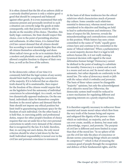It is often claimed that the life of an unborn child or a seriously disabled person is only a relative good–a good that should be compared and balanced against other goods. It is even maintained that only someone present and personally involved in such a situation can correctly judge the goods at stake: consequently, only that person would be able to decide on the morality of his choice. Therefore, this faulty logic continues, the State should respect this choice, even to the point of permitting abortion and euthanasia. At other times, it is claimed that civil law cannot demand that all citizens should live according to moral standards higher than what all citizens themselves acknowledge and share. More radical views go so far as to maintain that in a modern and pluralistic society people should be allowed complete freedom to dispose of their own lives, as well as the lives of the unborn.

#### *69*

In the democratic culture of our time it is commonly held that the legal system of any society should limit itself to accepting the convictions of the majority. If it is believed that an objective truth shared by all is unattainable, then respect for the freedom of the citizens would require that on the legislative level the autonomy of individual consciences be acknowledged. As a result, we have two diametrically opposed tendencies. On the one hand, individuals claim for themselves complete freedom in the moral sphere and demand that the State should not impose any ethical position but limit itself to guaranteeing maximum space for the freedom of each individual. On the other hand, it is held that, in exercising public and professional duties, respect for other people's freedom of choice requires that one set aside his or her own personal convictions to satisfy every demand of the citizens that is recognized by the law. It is held, therefore, that, in carrying out one's duties, the only moral criterion should be what is laid down by the law itself. Individual responsibility is turned over to the civil law and personal conscience is renounced.

At the basis of all these tendencies lies the *ethical relativism* which characterizes much of presentday culture. Some consider such relativism essential to democracy, whereas moral norms considered to be objective and binding are held to lead to authoritarianism and intolerance. The issue of respect for life, however, reveals the misunderstandings and contradictions concealed in this position. While history has seen crimes committed in the name of "truth," equally grave crimes have and continue to be committed in the name of "ethical relativism". When a parliamentary or social majority decrees that it is legal to kill unborn human life, is it not really making a tyrannical decision with regard to the most defenseless human beings? Democracy cannot be idolized to the point of making it a substitute for morality. Democracy is a system and as such is a *means* and not an *end*. Its moral value is not automatic, but rather depends on conformity to the moral law. *The value of democracy stands or falls with the values which it embodies and promotes.* The basis of these values cannot be changeable "majority" opinions, but only the acknowledgment of an objective moral law. Otherwise, the democratic system itself would be reduced to a mere mechanism for regulating different and opposing interests on a purely empirical basis.

#### *71*

It is therefore urgently necessary to rediscover those essential and innate moral values which flow from the very truth of the human being and express and safeguard the dignity of the person: values which no individual, no majority, and no State can ever create, modify, or destroy, but must only acknowledge, respect, and promote. The purpose of civil law is different and more limited in scope than that of the moral law. "In no sphere of life can the civil law take the place of conscience or dictate norms concerning things which are outside its competence"11 which is that of ensuring the common good of people through the recognition and defence of their fundamental rights, and the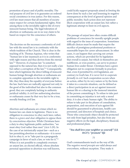promotion of peace and of public morality. The real purpose of civil law is to guarantee an ordered social coexistence in true justice. For this reason, civil law must ensure that all members of society enjoy respect for certain fundamental rights. First among these is the inviolable right to life of every innocent human being. The legal toleration of abortion or euthanasia can in no way claim to be based on respect for the conscience of others.

#### *72*

The doctrine on the necessary conformity of civil law with the moral law is in continuity with the whole tradition of the Church. This is clear in the teaching of St. Thomas Aquinas, who writes that "human law is law inasmuch as it is in conformity with right reason and thus derives from the eternal law."12 However, if a human law "is somehow opposed to the natural law, then it is not really a law but rather a corruption of the law."13 Consequently, laws which legitimize the direct killing of innocent human beings through abortion or euthanasia are in complete opposition to the inviolable right to life; they thus deny the equality of everyone before the law. Such laws are radically opposed not only to the good of the individual but also to the common good; they are completely lacking in authentic juridical validity. A civil law authorizing abortion or euthanasia ceases by that very fact to be a true, morally binding civil law.

#### *73*

Abortion and euthanasia are crimes which no human law can claim to legitimize. There is no obligation in conscience to obey such laws; rather, there is a *grave and clear obligation to oppose them by conscientious objection*. While Christians have a duty to obey legitimate public authorities, "we must obey God rather than men" (*Acts* 5:29). In the case of an intrinsically unjust law—such as a law permitting abortion or euthanasia—it is never licit to obey it, or to "take part in a propaganda campaign in favor of such a law, or vote for it."<sup>14</sup> When it is not possible to completely overturn an unjust law, an elected official, whose absolute personal opposition to abortion was well known,

could licitly support proposals aimed at *limiting the harm* done by such a law and lessening its negative consequences at the level of general opinion and public morality. Such action does not represent illicit cooperation with an unjust law, but rather a legitimate attempt to limit its evil aspects.

#### *74*

The passage of unjust laws often creates difficult problems of conscience for morally upright people with regard to the issue of cooperation. Sometimes difficult choices must be made that require the sacrifice of prestigious professional positions or reasonable hopes for career advancement. In other cases, it can happen that carrying out certain actions, which are provided for by legislation that overall is unjust, but which in themselves are indifferent, or even positive, can serve to protect human lives under threat. Christians have a grave obligation not to cooperate formally in practices that, even if permitted by civil legislation, are contrary to God's law. *It is never licit to cooperate formally in evil.* Such cooperation occurs when an action, either by its very nature or by the form it takes in a concrete situation, can be defined as a direct participation in an act against innocent human life or a sharing in the immoral intention of the person committing it. To refuse to take part in committing an injustice is not only a moral duty; it is also a basic human right. The ability to refuse to take part in the phases of consultation, preparation, and execution of acts against life should be guaranteed to physicians, health-care personnel, and directors of hospitals and clinics. Those who consciously object should be protected not only from legal penalties, but also from any negative effects on the legal, disciplinary, financial, and professional plane.

#### *" You shall love your neighbor as yourself "* (*Lk* 10:27): *"promote" life*

*75*

God's commandments teach us the way of life. The *negative moral precepts* are valid always and everywhere, without exception. They make it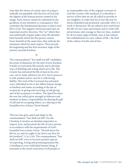clear that the choice of certain ways of acting is radically incompatible with the love of God and the dignity of the human person created in his image. Such choices cannot be redeemed by the goodness of any intention or consequence; they contradict the fundamental decision to direct one's life to God. The negative moral precepts have an important *positive* function. The "no" which they unconditionally require makes clear the absolute limit beneath which the free person cannot lower himself. At the same time, they indicate the minimum which he must respect. They provide the beginning and the first necessary stage of the journey towards freedom.

#### *76*

The commandment "You shall not kill" establishes the point of departure for the start of true freedom. It leads us to promote life actively and to develop ways of thinking and acting which serve life. The Creator has entrusted the life of man to his own care, not to make arbitrary use of it, but to preserve it with wisdom and to care for it with loving fidelity. The God of the Covenant has entrusted every individual to his or her fellow human beings as brothers and sisters according to the law of reciprocity in giving and receiving, of self-giving and of the acceptance of others. The Spirit becomes the new law which gives strength to believers and awakens in them a responsibility for sharing the gift of self and for accepting others, as a sharing in the boundless love of Jesus Christ himself.

#### *77*

This new law gives spirit and shape to the commandment "You shall not kill." For the Christian it involves an absolute imperative to respect, love, and promote the life of every person, in accordance with the requirements of God's bountiful love in Jesus Christ. "He laid down his life for us; and we ought to lay down our lives for the brethren" (*1 Jn* 3:16). The commandment "You shall not kill", even in its more positive aspects of respecting, loving and promoting human life, is binding on every individual human being. It resounds in the moral conscience of all people as

an irrepressible echo of the original covenant of God the Creator with mankind. It is therefore a service of love that we are all called to provide to our neighbor, in order that his or her life may be always defended and promoted, *especially when it is weak or threatened*. We are asked to love and honor the life of every man and woman and to work with perseverance and courage so that our time, marked by all too many signs of death, may at last witness the establishment of a new culture of life—the fruit of the culture of truth and of love.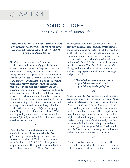## CHAPTER 4

## YOU DID IT TO ME For a New Culture of Human Life

*" You are God's own people, that you may declare the wonderful deeds of him who called you out of darkness into his marvelous light" (1 Pet 2:9): a people of life and for life* 

#### *78*

The Church has received the Gospel as a proclamation and a source of joy and salvation. Jesus was sent by the Father "to preach good news to the poor" (*Lk* 4:18). Pope Paul VI wrote that "*evangelization is the grace and vocation proper to the Church, her deepest identity. She exists in order to evangelize*."15 Evangelization is an all-embracing, progressive activity through which the Church participates in the prophetic, priestly, and royal mission of the Lord Jesus. It is therefore inextricably linked to preaching, celebration and the service of charity. Evangelization is a profoundly ecclesial act, which calls all the various workers of the Gospel to action, according to their individual charisms and ministry. This is also the case with regard to the proclamation of the *Gospel of life*, an integral part of the Gospel which is Jesus Christ himself. With humility and gratitude, we know that we are the *people of life and for life*, and this is how we present ourselves to everyone.

#### *79*

We are the *people of life* because God, in his unconditional love, has given us the *Gospel of life,* and by this same Gospel we have been transformed and saved. We have been ransomed by the "Author of life" (*Acts* 3:15) at the price of his precious blood. Through the waters of Baptism we have been made a part of him. Everyone has

an obligation to be at the service of life. This is a properly "ecclesial" responsibility, which requires concerted and generous action by all the members and by all sectors of the Christian community. This community commitment, however, does not lessen the responsibility of each *individual* to "Go and do likewise" (*Lk* 10:37). Together we all sense our duty to *preach the Gospel of life*, to *celebrate it* in the Liturgy and in our whole existence, and to *serve it* with various programs and structures that support and promote life.

#### *"That which we have seen and heard we proclaim also to you" (1 Jn 1:3): proclaiming the Gospel of life*

#### *80*

*Jesus is the only Gospel*: we have nothing further to say or any other witness to bear. *To proclaim Jesus is itself to proclaim life*. For Jesus is "the word of life" (*1 Jn* 1:1). Enlightened by this Gospel of life, we feel a need to proclaim it and to bear witness to it in all its marvellous newness. This Gospel exceeds every human expectation and reveals the sublime heights to which the dignity of the human person is raised through grace. Gratitude and joy at the incomparable dignity of man impel us to share this message with everyone. We need to bring the *Gospel of life* to the heart of every man and woman and make it penetrate every part of society.

#### *81*

Doing so involves proclaiming the core of this Gospel. It is the proclamation of a living God who is close to us, who calls us to profound communion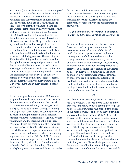with himself, and awakens in us the certain hope of eternal life. It is the affirmation of the inseparable connection between the person, his life and his bodiliness. It is the presentation of human life as a life of relationship, a gift of God, the fruit and sign of his love. It is the proclamation that Jesus has a unique relationship with every person, which enables us *to see in every human face the face of Christ*. It is the call for a "sincere gift of self" as the fullest way to realize our personal freedom. The consequences of this Gospel can be summed up as follows: human life, as a gift from God, is sacred and inviolable. For this reason, abortion and euthanasia are absolutely unacceptable. Not only must human life not be taken, but it must be protected with loving concern. The meaning of life is found in giving and receiving love, and in this light human sexuality and procreation reach their true and full significance. Love also gives meaning to suffering and death; they can become saving events. Respect for life requires that science and technology should always be at the service of man. Society as a whole must respect, defend, and promote the dignity of every human person, at every moment and in every condition of that person's life.

#### *82*

To be truly a people at the service of life we must propose these truths constantly and courageously from the very first proclamation of the Gospel, and thereafter in *catechesis*, *preaching*, *personal dialogue*, and *all educational activity*. By making the *Gospel of life* shine forth, we can help everyone discover in the light of reason and of personal experience how the Christian message fully reveals what man is and the meaning of his existence. When faced with opposing points of view, we can feel Paul's words to Timothy also addressed to us: "Preach the word, be urgent in season and out of season, convince, rebuke, and exhort, be unfailing in patience and teaching" (*2 Tim* 4:2). These words should resound with special force in the hearts of those who directly share in the Church's mission as "teacher" of the truth, including: *Bishops*, *theologians*, *pastors*, *teachers*, and those responsible for *catechesis and the formation of consciences*. May they never be so irresponsible as to propose ideas contrary to the *Gospel of life*. We must not fear hostility or unpopularity and refuse any compromise or ambiguity in the proclamation of this Gospel.

#### *"I give thanks that I am fearfully, wonderfully made" (Ps 139:14): celebrating the Gospel of life*

#### *83*

Because we have been sent into the world as a "people for life", our proclamation must also become *a genuine celebration of the Gospel of life*. For this to happen, we need to *foster a contemplative outlook* in ourselves and others. Arising from faith in the God of Life, such an outlook sees the deeper meaning of life, its beauty, and its invitation to freedom and responsibility. It discovers in all things the reflection of the Creator and sees in every person his living image. Such an outlook is not discouraged when confronted by those who are sick, suffering, outcast, or at death's door. Instead, in all these situations it feels challenged to find meaning. It is time for all of us to adopt this outlook and rediscover the ability to *revere and honor every person*.

#### *84*

*To celebrate the Gospel of life means to celebrate the God of life, the God who gives life*. In our *daily prayer as individuals and as a community*, we praise and bless God our Father who knitted us together in our mother's womb, and saw and loved us while we were still without form (cf. *Ps* 139:13, 15-16). In every child which is born and in every person who lives and dies we see the image of God's glory. We celebrate this glory in every human being—a sign of the living God, an icon of Jesus Christ. We are called to express wonder and gratitude for the gift of life and to welcome, savour and share the Gospel of life not only in our personal and community prayer, but above all in the *celebrations of the liturgical year*. Especially important are the *Sacraments*, the efficacious signs of the presence and saving action of the Lord Jesus in Christian life.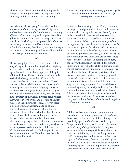They make us sharers in divine life, and provide the spiritual strength necessary to experience life, suffering, and death in their fullest meaning.

#### *85*

In celebrating the *Gospel of life* we also need to *appreciate and make use of the wealth of gestures and symbols present in the traditions and customs of different cultures and peoples*. I propose that a *Day of Life* be celebrated each year in every country, as already established by some Episcopal Conferences. Its primary purpose should be to foster in individuals, families, the Church, and civil society a recognition of the meaning and value of human life at every stage and in every condition.

#### *86*

The *Gospel of life* is to be celebrated above all in *daily living,* which should be filled with self-giving love for others. In this way, our lives will become a genuine and responsible acceptance of the gift of life and a heartfelt song of praise and gratitude to God who has given us this gift. It is in this context that heroic actions too are born. These are most solemn celebration of the *Gospel of life,*  for they proclaim it by the *total gift of self*. Such acts manifest the highest degree of love—to give one's life for the person loved. They are a sharing in the mystery of the Cross, in which Jesus reveals the value of every person, and how life attains its fullness in the sincere gift of self. However, there is also an everyday heroism made up of large and small gestures of sharing that build up an authentic culture of life. Part of this daily heroism is the witness of all "brave mothers who devote themselves to their own family without reserve, who suffer in giving birth to their children and who are ready to make any effort, to face any sacrifice, in order to pass on to them the best of themselves."16 While mothers often do not find support in the world around them, the Church thanks them for their invincible love!

#### *" What does it profit, my brethren, if a man says he has faith but has not works?" (Jas 2:14): serving the Gospel of life*

#### *87*

By virtue of our sharing in Christ's royal mission, our support and promotion of human life must be accomplished through the *service of charity*, which finds expression in personal witness, volunteer work, social activity, and political commitment. In our service of charity, *we must be inspired and distinguished by a specific attitude*: we must care for the other as a person for whom God has made us responsible. As disciples of Jesus, we are called to become neighbors to everyone (cf. *Lk* 10:29-37) and show special favor to those who are poorest, most alone, and most in need. In helping the hungry, the thirsty, the foreigner, the naked, the sick, the imprisoned—as well as the child in the womb and the old person who is suffering or near death—we have the opportunity to serve Jesus. *Where life is involved, the service of charity must be profoundly consistent*. It cannot tolerate bias or discrimination, for human life is sacred and inviolable at every stage and in every situation. The Church has an *outstanding history of charity*, and every Christian community must continue to write this history. Effective programs of *support for new life* must be implemented, with special closeness to mothers who, even without the help of the father, bring their children into the world.

#### *88*

All this involves a patient and fearless *work of education*, a continuous promotion of *vocations to service*, and the implementation of long-term, practical *projects and initiatives* inspired by the Gospel. At the first stage of life, *centers for natural methods of regulating fertility* should be promoted as a valuable help to responsible parenthood, in which all individuals, and in the first place the child, are recognized and respected in their own right, and where every decision is guided by the ideal of the sincere gift of self. *Marriage and family counseling agencies* should support and accompany every family in its mission as the "sanctuary of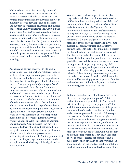life." Newborn life is also served *by centres of assistance and homes or centres where new life receives a welcome.* Thanks to the work of such centres, many unmarried mothers and couples in difficulty discover new hope and find assistance and support in overcoming hardship and the fear of accepting a newly conceived life. *Communities and agencies that address drug addiction, mental health, disability, and other challenges* give us new reasons for hope. When earthly life draws to a close, charity enables the *elderly* and *terminally ill* to enjoy genuinely humane assistance, particularly in response to anxiety and loneliness. In particular, *hospitals*, *clinics*, and *convalescent homes* above all should be places where suffering, pain, and death are understood in their human and Christian meaning.

*89*

Agencies and centres of service to life, and all other initiatives of support and solidarity need to be directed by people who are generous in their involvement and fully aware of the importance of the Gospel of life for the good of individuals and society. *A unique responsibility belongs to healthcare personnel—doctors, pharmacists, nurses, chaplains, men and women religious, administrators, and volunteers—*who are called to be guardians and servants of human life. In today's cultural and social context, in which science and the practice of medicine risk losing sight of their inherent ethical dimension, health-care professionals can be tempted to become manipulators of life, or even agents of death. The *Hippocratic Oath* requires every doctor to commit to absolute respect for human life. Such respect requires the *exercise of conscientious objection* in relation to abortion and euthanasia. "Causing death" can never be considered a form of medical treatment. It runs completely counter to the health-care profession, which is meant to be an impassioned and unflinching affirmation of life. Similarly, biomedical research must reject experimentation, research, or applications which disregard the dignity of the human person.

Volunteer workers have a specific role to play: they make a valuable contribution to the service of life when they combine professional ability and generous, selfless love. If charity is to be realistic and effective, the *Gospel of life* must also be implemented by *social activity and commitment in the political field,* as a way of defending life in our ever more complex and pluralistic societies. *Individuals, families, and groups* all have a responsibility for shaping society and developing cultural, economic, political, and legislative projects that contribute to the building of a society in which the dignity of each person is protected. This task is the particular responsibility of *civil leaders*. Called to serve the people and the common good, they have a duty to make courageous choices in support of life, especially through *legislative measures*. Laws play an important and sometimes decisive role in influencing patterns of thought and behavior. It is not enough to remove unjust laws; the underlying causes of attacks on life have to be eliminated by ensuring proper support for families and motherhood. *A family policy must be the basis and driving force of all social policies*.

*91*

Today an important part of policies which favor life is the *issue of population growth*. Public authorities have a responsibility to "intervene to orient the demography of the population,"17 but such interventions must always respect the primary responsibility of married couples and families, and cannot employ methods which fail to respect the person and fundamental human rights. It is morally unacceptable to encourage or impose the use of contraception, sterilization, or abortion in order to regulate births. Governments must strive to create conditions in which married couples can make choices about procreation with full freedom and genuine responsibility. They must then make efforts to ensure "greater opportunities and a fairer distribution of wealth so that everyone can share equitably in the goods of creation. Solutions must be sought on the global level by establishing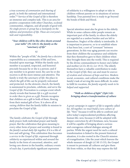a true *economy of communion and sharing of goods*, in both the national and international order."18 Service of the *Gospel of life* is therefore an immense and complex task. This is an area for positive cooperation with other Churches, ecclesial communities, religions, and all people of good will. *No single person or group has a monopoly on the defense and promotion of life. These are everyone's task and responsibility.*

#### *" Your children will be like olive shoots around your table" (Ps 128:3): the family as the "sanctuary of life"*

#### *92*

Within the "people of life," *the family has a decisive responsibility* as a community of life and love, founded upon marriage. Within the family each member is accepted, respected, and honored precisely because he or she is a person; and if any member is in greater need, the care he or she receives is all the more intense and attentive. The family is truly the *sanctuary of life*: the place in which the gift of life can be properly welcomed and protected. As the *domestic church*, the family is summoned to proclaim, celebrate, and serve the *Gospel of life*. Procreation is a unique event which clearly reveals that *human life is a gift received in order then to given as a gift*. Parents recognize that children are a gift to both of them, flowing from their mutual gift of love. It is above all in *raising children* that the family fulfils its mission to proclaim the *Gospel of life*.

#### *93*

The family *celebrates the Gospel of life* through *daily prayer,* both individual prayer and family prayer. But the celebration that gives meaning to every other form of prayer and worship is found in *the family's actual daily life together,* if it is a life of love and self-giving. This celebration thus becomes a *service to the Gospel of life*, expressed through *solidarity* as experienced within and around the family in the form of concerned, attentive, and loving care shown in the humble, ordinary events of each day. A particularly significant expression

of solidarity is a willingness to adopt or take in children without parents or in situations of serious hardship. True parental love is ready to go beyond the bonds of flesh and blood.

#### *94*

Special attention must also be given to the elderly. While in some cultures older people remain an important part of the family, in others the elderly are regarded as a useless burden and are left to themselves. Neglect of the elderly is intolerable. It is important to preserve, or to re-establish where it has been lost, a sort of "covenant" between generations. In this way aging parents can receive from their children the acceptance and solidarity that they themselves gave to their children when they brought them into the world. This is required by the divine commandment to honor one's father and mother (cf. *Ex* 20:12; *Lev* 19:3). The elderly themselves have a valuable contribution to make to the *Gospel of life*; they can and must *be sources of wisdom and witnesses of hope and love*. Modern social, economic, and cultural conditions make the family's task of serving life more difficult. In order to fulfil its vocation, *the family urgently needs to be helped and supported*.

#### *" Walk as children of light" (Eph 5:8): bringing about a transformation of culture*

#### *95*

A *great campaign in support of life* is urgently called for*. All together, we must build a new culture of life.* "New" because it will be able to confront and solve today's unprecedented problems affecting human life; new, because it will be adopted with deeper conviction by all Christians; new, because it will be capable of bringing about a serious and courageous cultural dialogue among all parties. While the urgent need for such a cultural transformation is linked to the present historical situation, it is also rooted in the Church's mission of evangelization. Like the yeast which leavens the whole measure of dough (cf. *Mt* 13:33), the Gospel is meant to permeate all cultures and give them life from within, so that they may express the full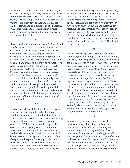truth about the human person. We need to begin with *the renewal of a culture of life within Christian communities themselves*. With great openness and courage, we need to question how widespread is the culture of life today among individual Christians, families, groups and communities in our Dioceses. With equal clarity and determination we must identify the steps we are called to take in order to serve life in all its truth.

#### *96*

The first and fundamental step towards this cultural transformation consists in *forming consciences* with regard to the incomparable worth of every human life. It is of greatest importance to *reestablish the essential connection between life and freedom*. There is no true freedom where life is not welcomed and loved; and there is no fullness of life except in freedom. Both realities are inextricably linked by the vocation to love, which gives each its truest meaning. No less critical is *the recovery of the necessary link between freedom and truth*. It is essential that man should acknowledge his inherent condition as a creature to whom God has granted being and life as a gift and a duty. Where God is denied and people live as though he did not exist, or his commandments are not taken into account, the dignity of the human person and the inviolability of human life end up being rejected or compromised.

#### *97*

Closely connected with the formation of conscience is the *work of education*. In particular, there is a need for education about the value of life from its very origins. The trivialization of sexuality is among the principal factors which have led to contempt for new life. We have a duty to offer, especially to adolescents and young adults, an authentic *education in sexuality and in love,* an education that includes *training in* chastity as a virtue which fosters personal maturity and makes one capable of respecting the spousal meaning of the body. The work of education also involves the *training of married couples in responsible procreation*, which requires couples to be obedient to the Lord's call

and to act as faithful interpreters of his plan. They are obliged to respect the biological laws inscribed in their person and to restrict themselves to *natural methods of regulating fertility*. This work of education also *cannot avoid a consideration of suffering and death*. Even pain and suffering have meaning and value when they are experienced in close connection with love received and given. Death is the door which opens wide on eternity and, for those who live in Christ, an experience of participation in the mystery of Christ's Death and Resurrection.

#### *98*

The cultural change we are calling for demands from everyone the courage to *adopt a new lifestyle,*  consisting in making practical choices on a correct scale of values: *the primacy of being over having, of the person over things*. This involves a moving from *indifference to concern for others, from rejection to acceptance of them*. In this mobilization for a new culture of life no one must feel excluded: *everyone has an important role to play.* Much depends on *teachers* and *educators*. *Intellectuals* are called to be active in the leading centers where culture is formed, in schools and universities, in places of scientific and technological research, of artistic creativity, and of the study of man. Specific contributions must also come from *universities*, particularly from Catholic universities, and from *Centers, Institutes, and Committees of Bioethics*. Similarly, *those in the mass media* have a serious responsibility to ensure that the messages they transmit support the culture of life.

#### *99*

*Women* occupy a unique and decisive place in transforming culture. It depends on them to promote a "new feminism" which rejects the temptation of imitating models of "male domination," in order to acknowledge and affirm the true genius of women in every aspect of society. I address to women this urgent appeal: "Reconcile people with life." You are called to bear witness to the meaning of genuine love, of that gift of self and of that acceptance of others which are present in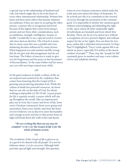a special way in the relationship of husband and wife, but which ought also to be at the heart of every other interpersonal relationship. Women first learn and then teach others that human relations are authentic if they are open to accepting the other person: a person who is recognized and loved because of the dignity that comes from being a person and not from other considerations, such as usefulness, strength, intelligence, beauty, or health. I would like to say a special word to *women who have had an abortion*. The Church is aware that in many cases this was a painful and even shattering decision influenced by many factors. What happened was and remains terribly wrong. But do not give into discouragement and do not lose hope. The Father of mercies is ready to give you his forgiveness and his peace in the Sacrament of Reconciliation. To the same Father and his mercy you can with sure hope entrust your child.

#### *100*

In the great endeavor to build a culture of life we are *inspired and sustained by the confidence* that comes from knowing that the *Gospel of life* is growing and producing abundant fruit. While the culture of death has powerful resources, we know that we can rely on the help of God, for whom nothing is impossible (cf. *Mt* 19:26). *A great prayer for life is urgently needed*, a prayer which will rise up throughout the world. May an impassioned plea rise to God, the Creator and lover of life, from every Christian community, from every group and association, from every family, and from the heart of every believer. Let us discover anew the humility and courage to *pray and fast* so that power from on high will break down the walls of lies and deceit.

#### *" We are writing this that our joy may be complete" (1 Jn 1:4): the Gospel of life is for the whole of human society*

#### *101*

The revelation of the *Gospel of life* is given to us as a good to be shared with all people. It is not for believers alone: *it is for everyone*. Although faith provides special light and strength, this question

arises in every human conscience which seeks the truth and cares about the future of humanity. To be actively pro-life is to contribute to the *renewal of society* through the promotion of the common good. It is impossible to further the common good without acknowledging and defending the right to life, upon which all other inalienable rights of individuals are founded and from which they develop. There can be no *true democracy* without a recognition of every person's dignity and without respect for his or her rights. Nor can there be *true peace* unless *life is defended and promoted*. As Pope Paul VI highlighted: "Every crime against life is an attack on peace, especially if it strikes at the moral conduct of people."19 Thus, may the "people for life" constantly grow in number and may a new culture of love and solidarity develop.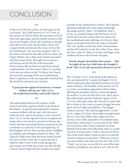## CONCLUSION

#### *102*

At the end of this Encyclical, we look again to the Lord Jesus, "the Child born for us" (cf. *Is* 9:6). In the mystery of Christ's Birth, the encounter of God with man takes place and the earthly journey of the Son of God begins, which will culminate in the gift of his life on the Cross. By his death, Christ will conquer death and become the source of new life for all humanity. The one who accepted "Life" in the name of all and for the sake of all was Mary, the Virgin Mother; she is thus most closely associated with the *Gospel of life*. Through her acceptance and loving care for the life of the Incarnate Word, human life has been rescued from eternal condemnation. For this reason, Mary is "a mother of all who are reborn to life." In Mary, the Church discovers the meaning of her own motherhood. Mary's experience is the *incomparable model of how life should be welcomed and cared for*.

#### *"A great portent appeared in heaven, a woman clothed with the sun" (Rev 12:1): the motherhood of Mary and of the Church*

#### *103*

The relationship between the mystery of the Church and Mary appears clearly in the Book of Revelation: "A great portent appeared in heaven, a woman clothed with the sun, with the moon under her feet, and on her head a crown of twelve stars" (12:1). In this sign the Church recognizes an image of her own mystery: present in history, she knows that she transcends history, inasmuch as she constitutes on earth the "seed and beginning" of the Kingdom of God. She sees this mystery fulfilled in complete and exemplary fashion in Mary. The Church is fully aware that she bears within herself the Savior of the world. She is aware that she is called to offer Christ to the world, giving men and women new birth into God's own life. But the Church cannot forget that her mission was made

possible by the motherhood of Mary. The Church's spiritual motherhood is only achieved through the pangs and the "labor" of childbirth, that is to say, in constant tension with the forces of evil which still roam the world. Mary too had to live her motherhood amid suffering. At Calvary, Mary shares in the gift which the Son makes of himself. The "yes" spoken on the day of the Annunciation reaches full maturity on the day of the Cross, when the time comes for Mary to receive and beget as her children all those who become disciples.

#### *"And the dragon stood before the woman* **…** *that he might devour her child when she brought it forth" (Rev 12:4): life menaced by the forces of evil*

#### *104*

The "woman" (12:1) of the Book of Revelation is also accompanied by "a great red dragon" (12:3), which represents Satan and all the powers of evil at work in history. The hostility of the powers of evil is, in fact, an insidious opposition which, before affecting the disciples of Jesus, is directed against his mother. To save the life of her Son, Mary has to flee with Joseph and the Child into Egypt (cf. *Mt* 2:13-15). Mary thus helps the Church to realize that *life is always at the center of a great struggle* between good and evil, light and darkness. The dragon wishes to devour "the child brought forth" (cf. *Rev* 12:4), a figure of Christ, whom Mary brought forth. But in a way, that child is also a figure of every person, every child, especially every helpless baby whose life is threatened. It is precisely in the "flesh" of every person that Christ continues to reveal himself and to enter into fellowship with us, so that *rejection of human life is really a rejection of Christ*. This is the truth which Christ reveals to us and the Church continues to proclaim: "Whoever receives one such child in my name receives me" (*Mt* 18:5); "Truly, I say to you, as you did it to one of the least of these my brethren, you did it to me" (*Mt* 25:40).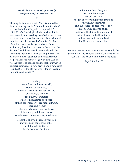#### *"Death shall be no more" (Rev 21:4): the splendor of the Resurrection*

#### *105*

The angel's Annunciation to Mary is framed by these reassuring words: "Do not be afraid, Mary" and "with God nothing will be impossible" (*Lk* 1:30, 37). The Virgin Mother's whole life is permeated by the certainty that God is near to her and that he accompanies her with his providential care. Mary is a living word of comfort for the Church in her struggle against death. Showing us the Son, the Church assures us that in him the forces of death have already been defeated. *The Lamb who was slain* is alive, bearing the marks of his Passion in the splendor of the Resurrection. He proclaims *the power of life over death*. And as we, the people of life and for life, make our way in confidence towards "a new heaven and a new earth" (*Rev* 12:10), we look to her who is for us "a sign of sure hope and solace."<sup>20</sup>

O Mary, bright dawn of the new world, Mother of the living, to you do we entrust the cause of life Look down, O Mother, upon the vast numbers of babies not allowed to be born, of the poor whose lives are made difficult, of men and women who are victims of brutal violence, of the elderly and the sick killed by indifference or out of misguided mercy.

Grant that all who believe in your Son may proclaim the Gospel of life with honesty and love to the people of our time.

Obtain for them the grace to accept that Gospel as a gift ever new, the joy of celebrating it with gratitude throughout their lives and the courage to bear witness to it resolutely, in order to build, together with all people of good will, the civilization of truth and love, to the praise and glory of God, the Creator and lover of life.

Given in Rome, at Saint Peter's, on 25 March, the Solemnity of the Annunciation of the Lord, in the year 1995, the seventeenth of my Pontificate.

—

*Pope John Paul II*